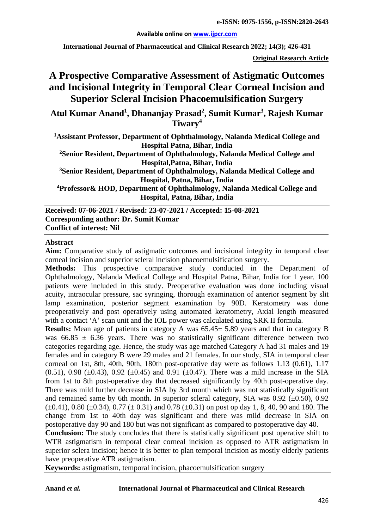#### **Available online on [www.ijpcr.com](http://www.ijpcr.com/)**

**International Journal of Pharmaceutical and Clinical Research 2022; 14(3); 426-431**

**Original Research Article**

# **A Prospective Comparative Assessment of Astigmatic Outcomes and Incisional Integrity in Temporal Clear Corneal Incision and Superior Scleral Incision Phacoemulsification Surgery**

**Atul Kumar Anand<sup>1</sup> , Dhananjay Prasad<sup>2</sup> , Sumit Kumar3 , Rajesh Kumar Tiwary<sup>4</sup>**

**1Assistant Professor, Department of Ophthalmology, Nalanda Medical College and Hospital Patna, Bihar, India**

**2Senior Resident, Department of Ophthalmology, Nalanda Medical College and Hospital,Patna, Bihar, India**

**3 Senior Resident, Department of Ophthalmology, Nalanda Medical College and Hospital, Patna, Bihar, India**

**4Professor& HOD, Department of Ophthalmology, Nalanda Medical College and Hospital, Patna, Bihar, India**

**Received: 07-06-2021 / Revised: 23-07-2021 / Accepted: 15-08-2021 Corresponding author: Dr. Sumit Kumar Conflict of interest: Nil**

#### **Abstract**

**Aim:** Comparative study of astigmatic outcomes and incisional integrity in temporal clear corneal incision and superior scleral incision phacoemulsification surgery.

**Methods:** This prospective comparative study conducted in the Department of Ophthalmology, Nalanda Medical College and Hospital Patna, Bihar, India for 1 year. 100 patients were included in this study. Preoperative evaluation was done including visual acuity, intraocular pressure, sac syringing, thorough examination of anterior segment by slit lamp examination, posterior segment examination by 90D. Keratometry was done preoperatively and post operatively using automated keratometry, Axial length measured with a contact 'A' scan unit and the IOL power was calculated using SRK II formula.

**Results:** Mean age of patients in category A was 65.45± 5.89 years and that in category B was  $66.85 \pm 6.36$  years. There was no statistically significant difference between two categories regarding age. Hence, the study was age matched Category A had 31 males and 19 females and in category B were 29 males and 21 females. In our study, SIA in temporal clear corneal on 1st, 8th, 40th, 90th, 180th post-operative day were as follows 1.13 (0.61), 1.17 (0.51), 0.98 ( $\pm$ 0.43), 0.92 ( $\pm$ 0.45) and 0.91 ( $\pm$ 0.47). There was a mild increase in the SIA from 1st to 8th post-operative day that decreased significantly by 40th post-operative day. There was mild further decrease in SIA by 3rd month which was not statistically significant and remained same by 6th month. In superior scleral category, SIA was  $0.92$  ( $\pm 0.50$ ),  $0.92$  $(\pm 0.41)$ , 0.80 ( $\pm 0.34$ ), 0.77 ( $\pm$  0.31) and 0.78 ( $\pm 0.31$ ) on post op day 1, 8, 40, 90 and 180. The change from 1st to 40th day was significant and there was mild decrease in SIA on postoperative day 90 and 180 but was not significant as compared to postoperative day 40.

**Conclusion:** The study concludes that there is statistically significant post operative shift to WTR astigmatism in temporal clear corneal incision as opposed to ATR astigmatism in superior sclera incision; hence it is better to plan temporal incision as mostly elderly patients have preoperative ATR astigmatism.

**Keywords:** astigmatism, temporal incision, phacoemulsification surgery

#### **Anand** *et al.* **International Journal of Pharmaceutical and Clinical Research**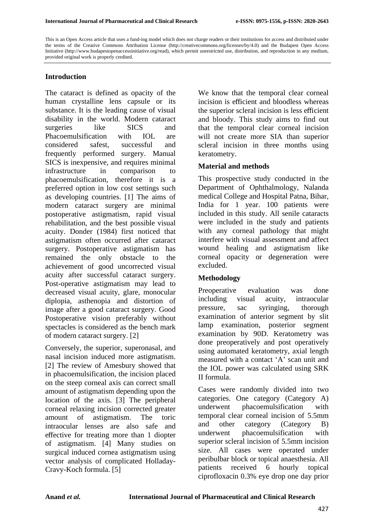This is an Open Access article that uses a fund-ing model which does not charge readers or their institutions for access and distributed under the terms of the Creative Commons Attribution License (http://creativecommons.org/licenses/by/4.0) and the Budapest Open Access Initiative (http://www.budapestopenaccessinitiative.org/read), which permit unrestricted use, distribution, and reproduction in any medium, provided original work is properly credited.

#### **Introduction**

The cataract is defined as opacity of the human crystalline lens capsule or its substance. It is the leading cause of visual disability in the world. Modern cataract surgeries like SICS and Phacoemulsification with IOL are considered safest, successful and frequently performed surgery. Manual SICS is inexpensive, and requires minimal infrastructure in comparison to phacoemulsification, therefore it is a preferred option in low cost settings such as developing countries. [1] The aims of modern cataract surgery are minimal postoperative astigmatism, rapid visual rehabilitation, and the best possible visual acuity. Donder (1984) first noticed that astigmatism often occurred after cataract surgery. Postoperative astigmatism has remained the only obstacle to the achievement of good uncorrected visual acuity after successful cataract surgery. Post-operative astigmatism may lead to decreased visual acuity, glare, monocular diplopia, asthenopia and distortion of image after a good cataract surgery. Good Postoperative vision preferably without spectacles is considered as the bench mark of modern cataract surgery. [2]

Conversely, the superior, superonasal, and nasal incision induced more astigmatism. [2] The review of Amesbury showed that in phacoemulsification, the incision placed on the steep corneal axis can correct small amount of astigmatism depending upon the location of the axis. [3] The peripheral corneal relaxing incision corrected greater amount of astigmatism. The toric intraocular lenses are also safe and effective for treating more than 1 diopter of astigmatism. [4] Many studies on surgical induced cornea astigmatism using vector analysis of complicated Holladay-Cravy-Koch formula. [5]

We know that the temporal clear corneal incision is efficient and bloodless whereas the superior scleral incision is less efficient and bloody. This study aims to find out that the temporal clear corneal incision will not create more SIA than superior scleral incision in three months using keratometry.

#### **Material and methods**

This prospective study conducted in the Department of Ophthalmology, Nalanda medical College and Hospital Patna, Bihar, India for 1 year. 100 patients were included in this study. All senile cataracts were included in the study and patients with any corneal pathology that might interfere with visual assessment and affect wound healing and astigmatism like corneal opacity or degeneration were excluded.

## **Methodology**

Preoperative evaluation was done including visual acuity, intraocular pressure, sac syringing, thorough examination of anterior segment by slit lamp examination, posterior segment examination by 90D. Keratometry was done preoperatively and post operatively using automated keratometry, axial length measured with a contact 'A' scan unit and the IOL power was calculated using SRK II formula.

Cases were randomly divided into two categories. One category (Category A) underwent phacoemulsification with temporal clear corneal incision of 5.5mm and other category (Category B) underwent phacoemulsification with superior scleral incision of 5.5mm incision size. All cases were operated under peribulbar block or topical anaesthesia. All patients received 6 hourly topical ciprofloxacin 0.3% eye drop one day prior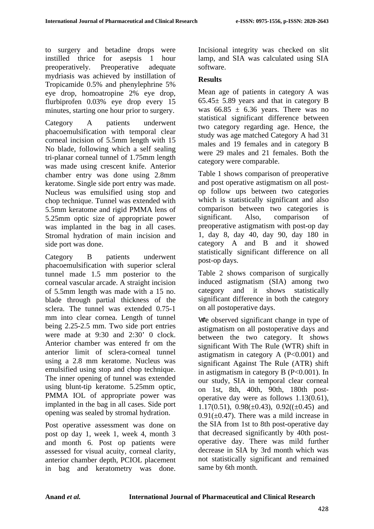to surgery and betadine drops were instilled thrice for asepsis 1 hour preoperatively. Preoperative adequate mydriasis was achieved by instillation of Tropicamide 0.5% and phenylephrine 5% eye drop, homoatropine 2% eye drop, flurbiprofen 0.03% eye drop every 15 minutes, starting one hour prior to surgery.

Category A patients underwent phacoemulsification with temporal clear corneal incision of 5.5mm length with 15 No blade, following which a self sealing tri-planar corneal tunnel of 1.75mm length was made using crescent knife. Anterior chamber entry was done using 2.8mm keratome. Single side port entry was made. Nucleus was emulsified using stop and chop technique. Tunnel was extended with 5.5mm keratome and rigid PMMA lens of 5.25mm optic size of appropriate power was implanted in the bag in all cases. Stromal hydration of main incision and side port was done.

Category B patients underwent phacoemulsification with superior scleral tunnel made 1.5 mm posterior to the corneal vascular arcade. A straight incision of 5.5mm length was made with a 15 no. blade through partial thickness of the sclera. The tunnel was extended 0.75-1 mm into clear cornea. Length of tunnel being 2.25-2.5 mm. Two side port entries were made at 9:30 and 2:30' 0 clock. Anterior chamber was entered fr om the anterior limit of sclera-corneal tunnel using a 2.8 mm keratome. Nucleus was emulsified using stop and chop technique. The inner opening of tunnel was extended using blunt-tip keratome. 5.25mm optic, PMMA IOL of appropriate power was implanted in the bag in all cases. Side port opening was sealed by stromal hydration.

Post operative assessment was done on post op day 1, week 1, week 4, month 3 and month 6. Post op patients were assessed for visual acuity, corneal clarity, anterior chamber depth, PCIOL placement in bag and keratometry was done.

Incisional integrity was checked on slit lamp, and SIA was calculated using SIA software.

# **Results**

Mean age of patients in category A was 65.45± 5.89 years and that in category B was  $66.85 \pm 6.36$  years. There was no statistical significant difference between two category regarding age. Hence, the study was age matched Category A had 31 males and 19 females and in category B were 29 males and 21 females. Both the category were comparable.

Table 1 shows comparison of preoperative and post operative astigmatism on all postop follow ups between two categories which is statistically significant and also comparison between two categories is significant. Also, comparison of preoperative astigmatism with post-op day 1, day 8, day 40, day 90, day 180 in category A and B and it showed statistically significant difference on all post-op days.

Table 2 shows comparison of surgically induced astigmatism (SIA) among two category and it shows statistically significant difference in both the category on all postoperative days.

We observed significant change in type of astigmatism on all postoperative days and between the two category. It shows significant With The Rule (WTR) shift in astigmatism in category  $A$  (P<0.001) and significant Against The Rule (ATR) shift in astigmatism in category B (P<0.001). In our study, SIA in temporal clear corneal on 1st, 8th, 40th, 90th, 180th postoperative day were as follows 1.13(0.61), 1.17(0.51),  $0.98(\pm 0.43)$ ,  $0.92((\pm 0.45)$  and  $0.91(\pm 0.47)$ . There was a mild increase in the SIA from 1st to 8th post-operative day that decreased significantly by 40th postoperative day. There was mild further decrease in SIA by 3rd month which was not statistically significant and remained same by 6th month.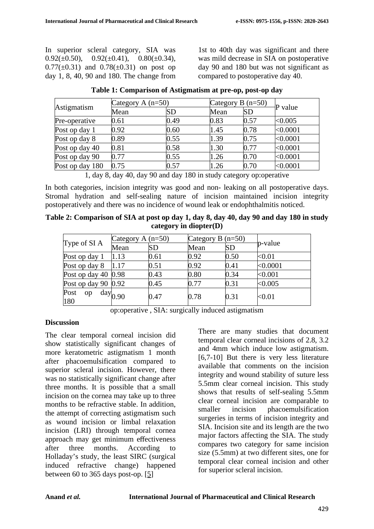In superior scleral category, SIA was 0.92( $\pm$ 0.50), 0.92( $\pm$ 0.41), 0.80( $\pm$ 0.34),  $0.77(\pm 0.31)$  and  $0.78(\pm 0.31)$  on post op day 1, 8, 40, 90 and 180. The change from 1st to 40th day was significant and there was mild decrease in SIA on postoperative day 90 and 180 but was not significant as compared to postoperative day 40.

| Astigmatism     | Category A $(n=50)$      |              | Category B $(n=50)$ |      | $\mathbf P$ value |
|-----------------|--------------------------|--------------|---------------------|------|-------------------|
|                 | Mean                     | <b>SD</b>    | Mean                | SD   |                   |
| Pre-operative   | 0.61                     | 0.49         | 0.83                | 0.57 | < 0.005           |
| Post op day 1   | 0.92                     | 0.60         | 1.45                | 0.78 | < 0.0001          |
| Post op day 8   | 0.89                     | 0.55         | 1.39                | 0.75 | < 0.0001          |
| Post op day 40  | 0.81                     | 0.58         | 1.30                | 0.77 | < 0.0001          |
| Post op day 90  | 0.77                     | 0.55         | 1.26                | 0.70 | < 0.0001          |
| Post op day 180 | 0.75                     | 0.57         | 1.26                | 0.70 | < 0.0001          |
|                 | 1 1 0 1 10 1<br>$\Omega$ | $\mathbf{1}$ | $100 \cdot 1$       |      |                   |

| Table 1: Comparison of Astigmatism at pre-op, post-op day |  |  |  |  |
|-----------------------------------------------------------|--|--|--|--|
|-----------------------------------------------------------|--|--|--|--|

1, day 8, day 40, day 90 and day 180 in study category op:operative

In both categories, incision integrity was good and non- leaking on all postoperative days. Stromal hydration and self-sealing nature of incision maintained incision integrity postoperatively and there was no incidence of wound leak or endophthalmitis noticed.

**Table 2: Comparison of SIA at post op day 1, day 8, day 40, day 90 and day 180 in study category in diopter(D)**

| Type of SI A          | Category A $(n=50)$ |      | Category B $(n=50)$ |           |             |
|-----------------------|---------------------|------|---------------------|-----------|-------------|
|                       | Mean                | SD   | Mean                | <b>SD</b> | $-p$ -value |
| Post op day 1         | 1.13                | 0.61 | 0.92                | 0.50      | $<$ 0.01    |
| Post op day 8         | 1.17                | 0.51 | 0.92                | 0.41      | < 0.0001    |
| Post op day 40 $0.98$ |                     | 0.43 | 0.80                | 0.34      | < 0.001     |
| Post op day 90 $0.92$ |                     | 0.45 | 0.77                | 0.31      | < 0.005     |
| Post<br>op<br>180     | $\text{day}_{0.90}$ | 0.47 | 0.78                | 0.31      | < 0.01      |

| op:operative, SIA: surgically induced astigmatism |  |  |  |  |
|---------------------------------------------------|--|--|--|--|
|---------------------------------------------------|--|--|--|--|

## **Discussion**

The clear temporal corneal incision did show statistically significant changes of more keratometric astigmatism 1 month after phacoemulsification compared to superior scleral incision. However, there was no statistically significant change after three months. It is possible that a small incision on the cornea may take up to three months to be refractive stable. In addition, the attempt of correcting astigmatism such as wound incision or limbal relaxation incision (LRI) through temporal cornea approach may get minimum effectiveness<br>after three months. According to According to Holladay's study, the least SIRC (surgical induced refractive change) happened between 60 to 365 days post-op. [\[5\]](#page-5-0)

There are many studies that document temporal clear corneal incisions of 2.8, 3.2 and 4mm which induce low astigmatism. [6,7-10] But there is very less literature available that comments on the incision integrity and wound stability of suture less 5.5mm clear corneal incision. This study shows that results of self-sealing 5.5mm clear corneal incision are comparable to smaller incision phacoemulsification surgeries in terms of incision integrity and SIA. Incision site and its length are the two major factors affecting the SIA. The study compares two category for same incision size (5.5mm) at two different sites, one for temporal clear corneal incision and other for superior scleral incision.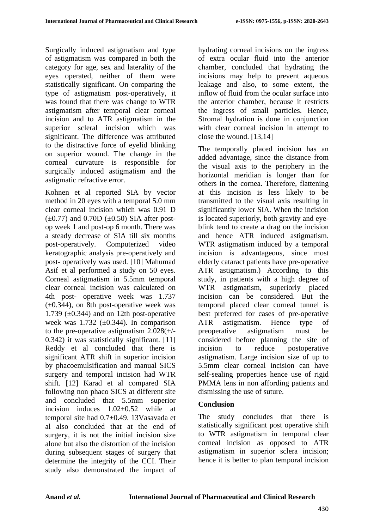Surgically induced astigmatism and type of astigmatism was compared in both the category for age, sex and laterality of the eyes operated, neither of them were statistically significant. On comparing the type of astigmatism post-operatively, it was found that there was change to WTR astigmatism after temporal clear corneal incision and to ATR astigmatism in the superior scleral incision which was significant. The difference was attributed to the distractive force of eyelid blinking on superior wound. The change in the corneal curvature is responsible for surgically induced astigmatism and the astigmatic refractive error.

Kohnen et al reported SIA by vector method in 20 eyes with a temporal 5.0 mm clear corneal incision which was 0.91 D  $(\pm 0.77)$  and 0.70D  $(\pm 0.50)$  SIA after postop week 1 and post-op 6 month. There was a steady decrease of SIA till six months post-operatively. Computerized video keratographic analysis pre-operatively and post- operatively was used. [10] Mahumad Asif et al performed a study on 50 eyes. Corneal astigmatism in 5.5mm temporal clear corneal incision was calculated on 4th post- operative week was 1.737  $(\pm 0.344)$ , on 8th post-operative week was 1.739  $(\pm 0.344)$  and on 12th post-operative week was 1.732 ( $\pm$ 0.344). In comparison to the pre-operative astigmatism 2.028(+/- 0.342) it was statistically significant. [11] Reddy et al concluded that there is significant ATR shift in superior incision by phacoemulsification and manual SICS surgery and temporal incision had WTR shift. [12] Karad et al compared SIA following non phaco SICS at different site and concluded that 5.5mm superior incision induces 1.02±0.52 while at temporal site had 0.7±0.49. 13Vasavada et al also concluded that at the end of surgery, it is not the initial incision size alone but also the distortion of the incision during subsequent stages of surgery that determine the integrity of the CCI. Their study also demonstrated the impact of hydrating corneal incisions on the ingress of extra ocular fluid into the anterior chamber, concluded that hydrating the incisions may help to prevent aqueous leakage and also, to some extent, the inflow of fluid from the ocular surface into the anterior chamber, because it restricts the ingress of small particles. Hence, Stromal hydration is done in conjunction with clear corneal incision in attempt to close the wound. [13,14]

The temporally placed incision has an added advantage, since the distance from the visual axis to the periphery in the horizontal meridian is longer than for others in the cornea. Therefore, flattening at this incision is less likely to be transmitted to the visual axis resulting in significantly lower SIA. When the incision is located superiorly, both gravity and eyeblink tend to create a drag on the incision and hence ATR induced astigmatism. WTR astigmatism induced by a temporal incision is advantageous, since most elderly cataract patients have pre-operative ATR astigmatism.) According to this study, in patients with a high degree of WTR astigmatism, superiorly placed incision can be considered. But the temporal placed clear corneal tunnel is best preferred for cases of pre-operative ATR astigmatism. Hence type of preoperative astigmatism must be considered before planning the site of incision to reduce postoperative astigmatism. Large incision size of up to 5.5mm clear corneal incision can have self-sealing properties hence use of rigid PMMA lens in non affording patients and dismissing the use of suture.

## **Conclusion**

The study concludes that there is statistically significant post operative shift to WTR astigmatism in temporal clear corneal incision as opposed to ATR astigmatism in superior sclera incision; hence it is better to plan temporal incision